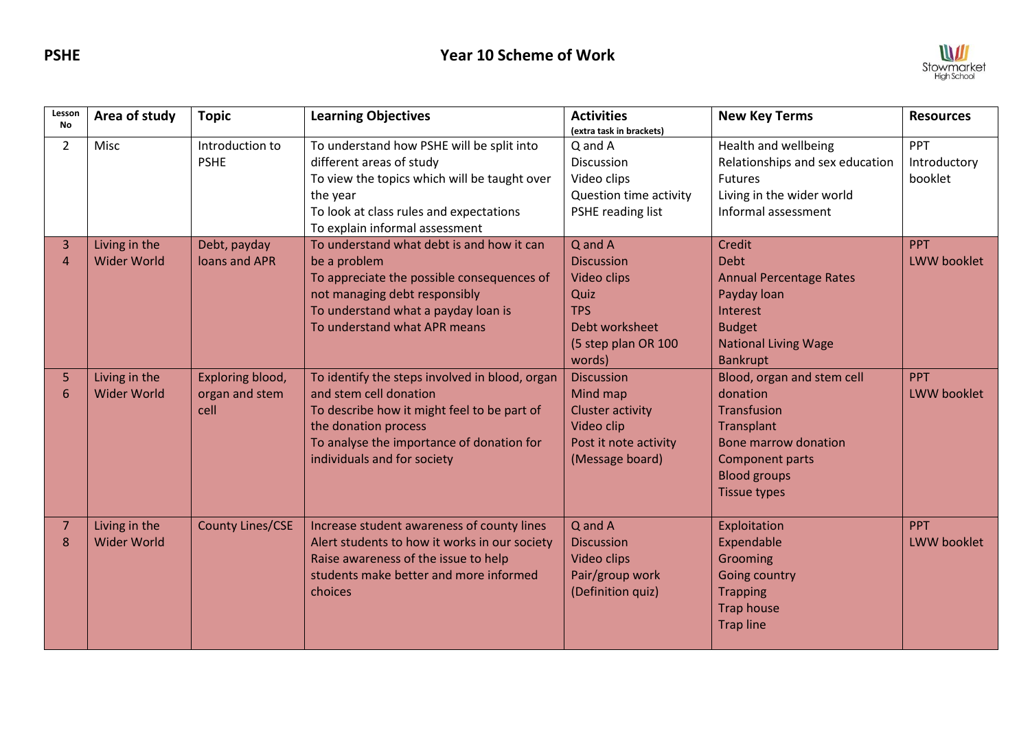

| Lesson<br><b>No</b> | Area of study                       | <b>Topic</b>                               | <b>Learning Objectives</b>                                                                                                                                                                                                  | <b>Activities</b><br>(extra task in brackets)                                                                        | <b>New Key Terms</b>                                                                                                                                                       | <b>Resources</b>                 |
|---------------------|-------------------------------------|--------------------------------------------|-----------------------------------------------------------------------------------------------------------------------------------------------------------------------------------------------------------------------------|----------------------------------------------------------------------------------------------------------------------|----------------------------------------------------------------------------------------------------------------------------------------------------------------------------|----------------------------------|
| $\overline{2}$      | Misc                                | Introduction to<br><b>PSHE</b>             | To understand how PSHE will be split into<br>different areas of study<br>To view the topics which will be taught over<br>the year<br>To look at class rules and expectations<br>To explain informal assessment              | Q and A<br>Discussion<br>Video clips<br>Question time activity<br>PSHE reading list                                  | Health and wellbeing<br>Relationships and sex education<br><b>Futures</b><br>Living in the wider world<br>Informal assessment                                              | PPT<br>Introductory<br>booklet   |
| 3<br>$\overline{a}$ | Living in the<br><b>Wider World</b> | Debt, payday<br>loans and APR              | To understand what debt is and how it can<br>be a problem<br>To appreciate the possible consequences of<br>not managing debt responsibly<br>To understand what a payday loan is<br>To understand what APR means             | Q and A<br><b>Discussion</b><br>Video clips<br>Quiz<br><b>TPS</b><br>Debt worksheet<br>(5 step plan OR 100<br>words) | Credit<br><b>Debt</b><br><b>Annual Percentage Rates</b><br>Payday loan<br>Interest<br><b>Budget</b><br><b>National Living Wage</b><br><b>Bankrupt</b>                      | <b>PPT</b><br><b>LWW booklet</b> |
| 5<br>6              | Living in the<br><b>Wider World</b> | Exploring blood,<br>organ and stem<br>cell | To identify the steps involved in blood, organ<br>and stem cell donation<br>To describe how it might feel to be part of<br>the donation process<br>To analyse the importance of donation for<br>individuals and for society | <b>Discussion</b><br>Mind map<br><b>Cluster activity</b><br>Video clip<br>Post it note activity<br>(Message board)   | Blood, organ and stem cell<br>donation<br><b>Transfusion</b><br>Transplant<br><b>Bone marrow donation</b><br>Component parts<br><b>Blood groups</b><br><b>Tissue types</b> | PPT<br>LWW booklet               |
| 7<br>8              | Living in the<br><b>Wider World</b> | <b>County Lines/CSE</b>                    | Increase student awareness of county lines<br>Alert students to how it works in our society<br>Raise awareness of the issue to help<br>students make better and more informed<br>choices                                    | Q and A<br><b>Discussion</b><br><b>Video clips</b><br>Pair/group work<br>(Definition quiz)                           | Exploitation<br>Expendable<br>Grooming<br>Going country<br><b>Trapping</b><br><b>Trap house</b><br><b>Trap line</b>                                                        | <b>PPT</b><br><b>LWW booklet</b> |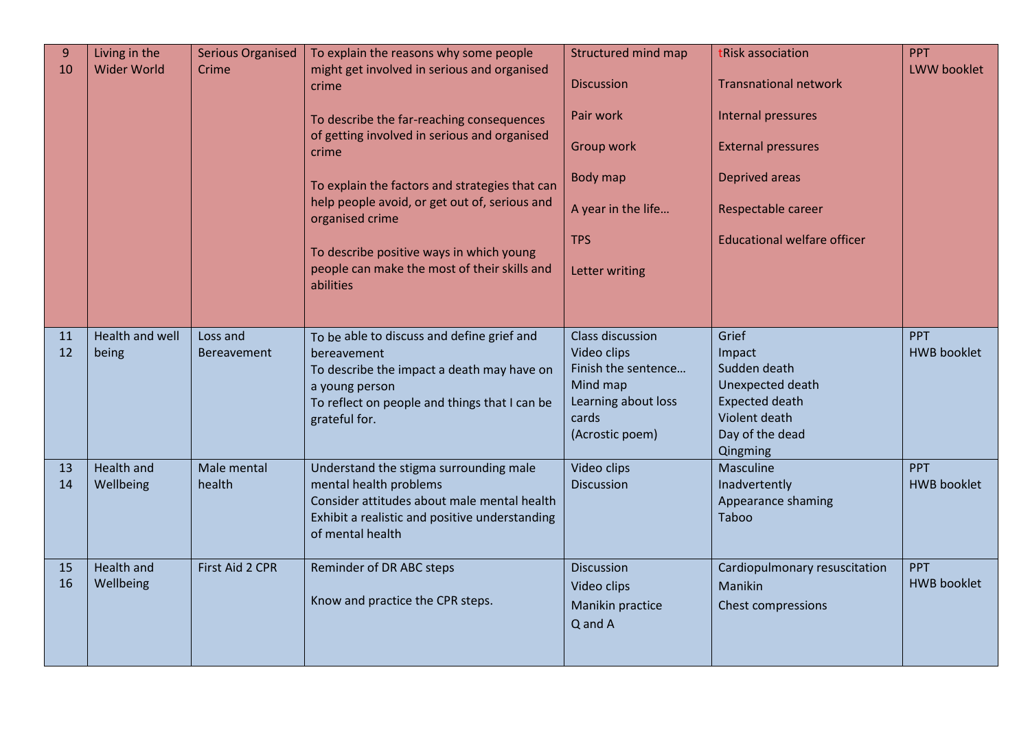| 9<br>10  | Living in the<br><b>Wider World</b> | <b>Serious Organised</b><br>Crime | To explain the reasons why some people<br>might get involved in serious and organised<br>crime<br>To describe the far-reaching consequences<br>of getting involved in serious and organised<br>crime<br>To explain the factors and strategies that can<br>help people avoid, or get out of, serious and<br>organised crime<br>To describe positive ways in which young<br>people can make the most of their skills and<br>abilities | Structured mind map<br><b>Discussion</b><br>Pair work<br>Group work<br>Body map<br>A year in the life<br><b>TPS</b><br>Letter writing | tRisk association<br><b>Transnational network</b><br>Internal pressures<br><b>External pressures</b><br><b>Deprived areas</b><br>Respectable career<br><b>Educational welfare officer</b> | <b>PPT</b><br>LWW booklet        |
|----------|-------------------------------------|-----------------------------------|-------------------------------------------------------------------------------------------------------------------------------------------------------------------------------------------------------------------------------------------------------------------------------------------------------------------------------------------------------------------------------------------------------------------------------------|---------------------------------------------------------------------------------------------------------------------------------------|-------------------------------------------------------------------------------------------------------------------------------------------------------------------------------------------|----------------------------------|
| 11<br>12 | Health and well<br>being            | Loss and<br><b>Bereavement</b>    | To be able to discuss and define grief and<br>bereavement<br>To describe the impact a death may have on<br>a young person<br>To reflect on people and things that I can be<br>grateful for.                                                                                                                                                                                                                                         | Class discussion<br>Video clips<br>Finish the sentence<br>Mind map<br>Learning about loss<br>cards<br>(Acrostic poem)                 | Grief<br>Impact<br>Sudden death<br>Unexpected death<br><b>Expected death</b><br>Violent death<br>Day of the dead<br>Qingming                                                              | PPT<br><b>HWB</b> booklet        |
| 13<br>14 | Health and<br>Wellbeing             | Male mental<br>health             | Understand the stigma surrounding male<br>mental health problems<br>Consider attitudes about male mental health<br>Exhibit a realistic and positive understanding<br>of mental health                                                                                                                                                                                                                                               | Video clips<br><b>Discussion</b>                                                                                                      | Masculine<br>Inadvertently<br>Appearance shaming<br>Taboo                                                                                                                                 | <b>PPT</b><br><b>HWB booklet</b> |
| 15<br>16 | Health and<br>Wellbeing             | First Aid 2 CPR                   | Reminder of DR ABC steps<br>Know and practice the CPR steps.                                                                                                                                                                                                                                                                                                                                                                        | <b>Discussion</b><br>Video clips<br>Manikin practice<br>Q and A                                                                       | Cardiopulmonary resuscitation<br>Manikin<br>Chest compressions                                                                                                                            | <b>PPT</b><br><b>HWB booklet</b> |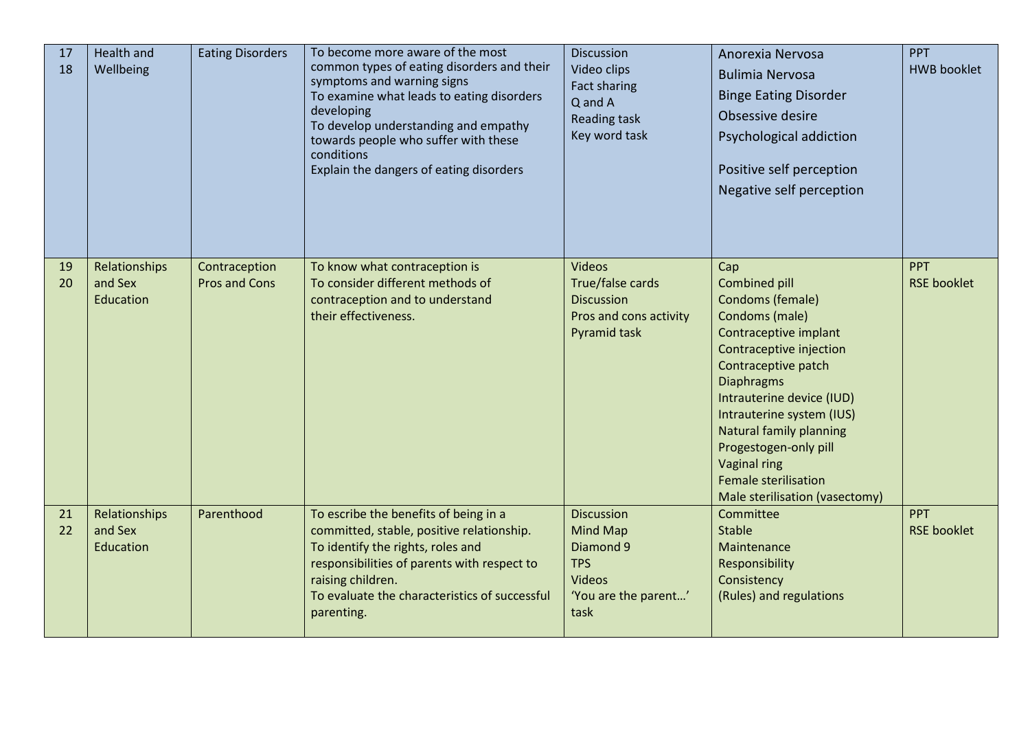| 17<br>18 | Health and<br>Wellbeing               | <b>Eating Disorders</b>               | To become more aware of the most<br>common types of eating disorders and their<br>symptoms and warning signs<br>To examine what leads to eating disorders<br>developing<br>To develop understanding and empathy<br>towards people who suffer with these<br>conditions<br>Explain the dangers of eating disorders | <b>Discussion</b><br>Video clips<br>Fact sharing<br>Q and A<br><b>Reading task</b><br>Key word task       | Anorexia Nervosa<br><b>Bulimia Nervosa</b><br><b>Binge Eating Disorder</b><br>Obsessive desire<br>Psychological addiction<br>Positive self perception<br>Negative self perception                                                                                                                                                                                | PPT<br><b>HWB</b> booklet        |
|----------|---------------------------------------|---------------------------------------|------------------------------------------------------------------------------------------------------------------------------------------------------------------------------------------------------------------------------------------------------------------------------------------------------------------|-----------------------------------------------------------------------------------------------------------|------------------------------------------------------------------------------------------------------------------------------------------------------------------------------------------------------------------------------------------------------------------------------------------------------------------------------------------------------------------|----------------------------------|
| 19<br>20 | Relationships<br>and Sex<br>Education | Contraception<br><b>Pros and Cons</b> | To know what contraception is<br>To consider different methods of<br>contraception and to understand<br>their effectiveness.                                                                                                                                                                                     | <b>Videos</b><br>True/false cards<br><b>Discussion</b><br>Pros and cons activity<br><b>Pyramid task</b>   | Cap<br><b>Combined pill</b><br>Condoms (female)<br>Condoms (male)<br>Contraceptive implant<br>Contraceptive injection<br>Contraceptive patch<br><b>Diaphragms</b><br>Intrauterine device (IUD)<br>Intrauterine system (IUS)<br>Natural family planning<br>Progestogen-only pill<br>Vaginal ring<br><b>Female sterilisation</b><br>Male sterilisation (vasectomy) | <b>PPT</b><br><b>RSE booklet</b> |
| 21<br>22 | Relationships<br>and Sex<br>Education | Parenthood                            | To escribe the benefits of being in a<br>committed, stable, positive relationship.<br>To identify the rights, roles and<br>responsibilities of parents with respect to<br>raising children.<br>To evaluate the characteristics of successful<br>parenting.                                                       | <b>Discussion</b><br>Mind Map<br>Diamond 9<br><b>TPS</b><br><b>Videos</b><br>'You are the parent'<br>task | Committee<br><b>Stable</b><br>Maintenance<br>Responsibility<br>Consistency<br>(Rules) and regulations                                                                                                                                                                                                                                                            | <b>PPT</b><br><b>RSE booklet</b> |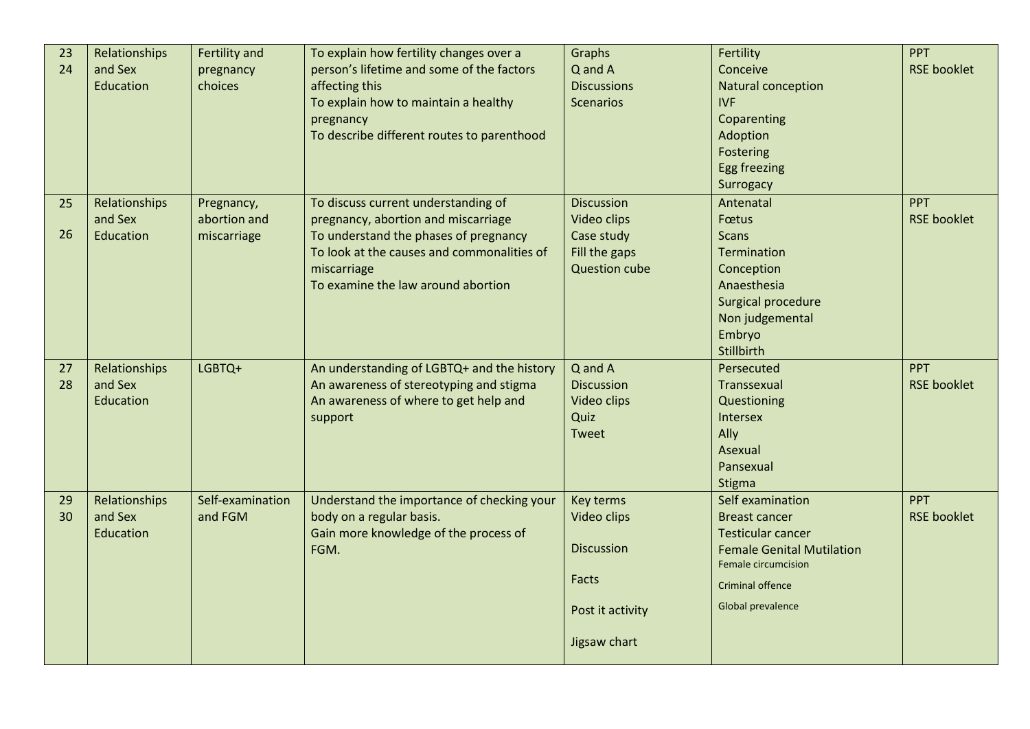| 23 | Relationships | Fertility and    | To explain how fertility changes over a    | Graphs               | Fertility                        | <b>PPT</b>         |
|----|---------------|------------------|--------------------------------------------|----------------------|----------------------------------|--------------------|
| 24 | and Sex       | pregnancy        | person's lifetime and some of the factors  | Q and A              | Conceive                         | <b>RSE booklet</b> |
|    | Education     | choices          | affecting this                             | <b>Discussions</b>   | Natural conception               |                    |
|    |               |                  | To explain how to maintain a healthy       | <b>Scenarios</b>     | IVF                              |                    |
|    |               |                  | pregnancy                                  |                      | Coparenting                      |                    |
|    |               |                  | To describe different routes to parenthood |                      | Adoption                         |                    |
|    |               |                  |                                            |                      | Fostering                        |                    |
|    |               |                  |                                            |                      | <b>Egg freezing</b>              |                    |
|    |               |                  |                                            |                      | Surrogacy                        |                    |
| 25 | Relationships | Pregnancy,       | To discuss current understanding of        | <b>Discussion</b>    | Antenatal                        | <b>PPT</b>         |
|    | and Sex       | abortion and     | pregnancy, abortion and miscarriage        | Video clips          | Fœtus                            | <b>RSE booklet</b> |
| 26 | Education     | miscarriage      | To understand the phases of pregnancy      | Case study           | <b>Scans</b>                     |                    |
|    |               |                  | To look at the causes and commonalities of | Fill the gaps        | <b>Termination</b>               |                    |
|    |               |                  | miscarriage                                | <b>Question cube</b> | Conception                       |                    |
|    |               |                  | To examine the law around abortion         |                      | Anaesthesia                      |                    |
|    |               |                  |                                            |                      | Surgical procedure               |                    |
|    |               |                  |                                            |                      | Non judgemental                  |                    |
|    |               |                  |                                            |                      | Embryo                           |                    |
|    |               |                  |                                            |                      | Stillbirth                       |                    |
| 27 | Relationships | LGBTQ+           | An understanding of LGBTQ+ and the history | Q and A              | Persecuted                       | <b>PPT</b>         |
| 28 | and Sex       |                  | An awareness of stereotyping and stigma    | <b>Discussion</b>    | Transsexual                      | <b>RSE booklet</b> |
|    | Education     |                  | An awareness of where to get help and      | Video clips          | Questioning                      |                    |
|    |               |                  | support                                    | Quiz                 | Intersex                         |                    |
|    |               |                  |                                            | Tweet                | Ally                             |                    |
|    |               |                  |                                            |                      | Asexual                          |                    |
|    |               |                  |                                            |                      | Pansexual                        |                    |
|    |               |                  |                                            |                      | <b>Stigma</b>                    |                    |
| 29 | Relationships | Self-examination | Understand the importance of checking your | Key terms            | Self examination                 | <b>PPT</b>         |
| 30 | and Sex       | and FGM          | body on a regular basis.                   | Video clips          | <b>Breast cancer</b>             | <b>RSE booklet</b> |
|    | Education     |                  | Gain more knowledge of the process of      |                      | <b>Testicular cancer</b>         |                    |
|    |               |                  | FGM.                                       | <b>Discussion</b>    | <b>Female Genital Mutilation</b> |                    |
|    |               |                  |                                            |                      | <b>Female circumcision</b>       |                    |
|    |               |                  |                                            | Facts                | Criminal offence                 |                    |
|    |               |                  |                                            | Post it activity     | <b>Global prevalence</b>         |                    |
|    |               |                  |                                            | Jigsaw chart         |                                  |                    |